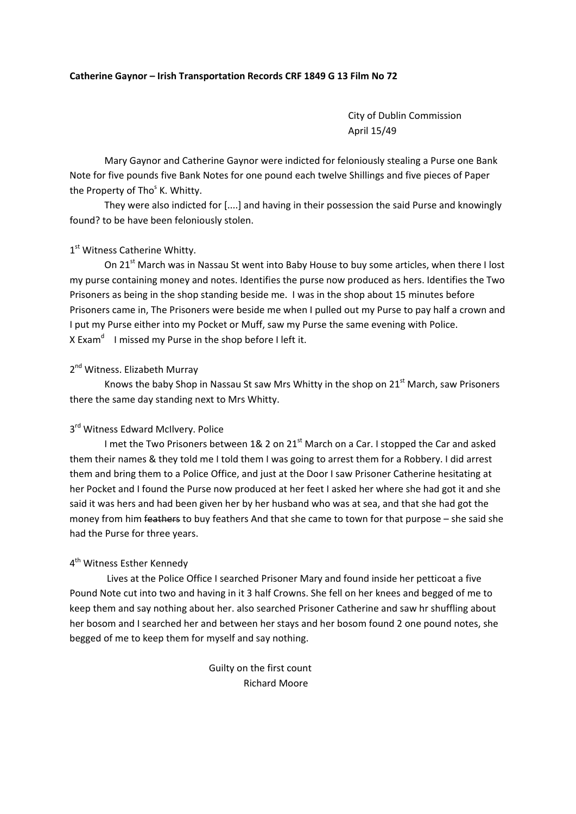#### **Catherine Gaynor – Irish Transportation Records CRF 1849 G 13 Film No 72**

City of Dublin Commission April 15/49

Mary Gaynor and Catherine Gaynor were indicted for feloniously stealing a Purse one Bank Note for five pounds five Bank Notes for one pound each twelve Shillings and five pieces of Paper the Property of Tho<sup>s</sup> K. Whitty.

They were also indicted for [....] and having in their possession the said Purse and knowingly found? to be have been feloniously stolen.

## 1<sup>st</sup> Witness Catherine Whitty.

On 21<sup>st</sup> March was in Nassau St went into Baby House to buy some articles, when there I lost my purse containing money and notes. Identifies the purse now produced as hers. Identifies the Two Prisoners as being in the shop standing beside me. I was in the shop about 15 minutes before Prisoners came in, The Prisoners were beside me when I pulled out my Purse to pay half a crown and I put my Purse either into my Pocket or Muff, saw my Purse the same evening with Police. X Exam<sup>d</sup> I missed my Purse in the shop before I left it.

## 2<sup>nd</sup> Witness. Elizabeth Murray

Knows the baby Shop in Nassau St saw Mrs Whitty in the shop on  $21<sup>st</sup>$  March, saw Prisoners there the same day standing next to Mrs Whitty.

# 3rd Witness Edward McIlvery. Police

I met the Two Prisoners between 1& 2 on 21<sup>st</sup> March on a Car. I stopped the Car and asked them their names & they told me I told them I was going to arrest them for a Robbery. I did arrest them and bring them to a Police Office, and just at the Door I saw Prisoner Catherine hesitating at her Pocket and I found the Purse now produced at her feet I asked her where she had got it and she said it was hers and had been given her by her husband who was at sea, and that she had got the money from him feathers to buy feathers And that she came to town for that purpose – she said she had the Purse for three years.

### 4<sup>th</sup> Witness Esther Kennedy

Lives at the Police Office I searched Prisoner Mary and found inside her petticoat a five Pound Note cut into two and having in it 3 half Crowns. She fell on her knees and begged of me to keep them and say nothing about her. also searched Prisoner Catherine and saw hr shuffling about her bosom and I searched her and between her stays and her bosom found 2 one pound notes, she begged of me to keep them for myself and say nothing.

> Guilty on the first count Richard Moore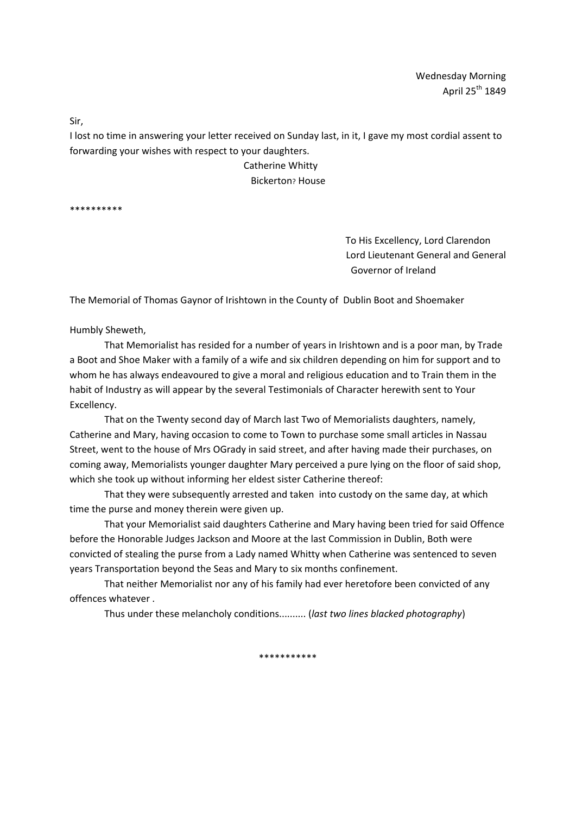Sir,

I lost no time in answering your letter received on Sunday last, in it, I gave my most cordial assent to forwarding your wishes with respect to your daughters.

> Catherine Whitty Bickerton? House

\*\*\*\*\*\*\*\*\*\*

 To His Excellency, Lord Clarendon Lord Lieutenant General and General Governor of Ireland

The Memorial of Thomas Gaynor of Irishtown in the County of Dublin Boot and Shoemaker

Humbly Sheweth,

That Memorialist has resided for a number of years in Irishtown and is a poor man, by Trade a Boot and Shoe Maker with a family of a wife and six children depending on him for support and to whom he has always endeavoured to give a moral and religious education and to Train them in the habit of Industry as will appear by the several Testimonials of Character herewith sent to Your Excellency.

That on the Twenty second day of March last Two of Memorialists daughters, namely, Catherine and Mary, having occasion to come to Town to purchase some small articles in Nassau Street, went to the house of Mrs OGrady in said street, and after having made their purchases, on coming away, Memorialists younger daughter Mary perceived a pure lying on the floor of said shop, which she took up without informing her eldest sister Catherine thereof:

That they were subsequently arrested and taken into custody on the same day, at which time the purse and money therein were given up.

That your Memorialist said daughters Catherine and Mary having been tried for said Offence before the Honorable Judges Jackson and Moore at the last Commission in Dublin, Both were convicted of stealing the purse from a Lady named Whitty when Catherine was sentenced to seven years Transportation beyond the Seas and Mary to six months confinement.

That neither Memorialist nor any of his family had ever heretofore been convicted of any offences whatever .

Thus under these melancholy conditions.......... (*last two lines blacked photography*)

\*\*\*\*\*\*\*\*\*\*\*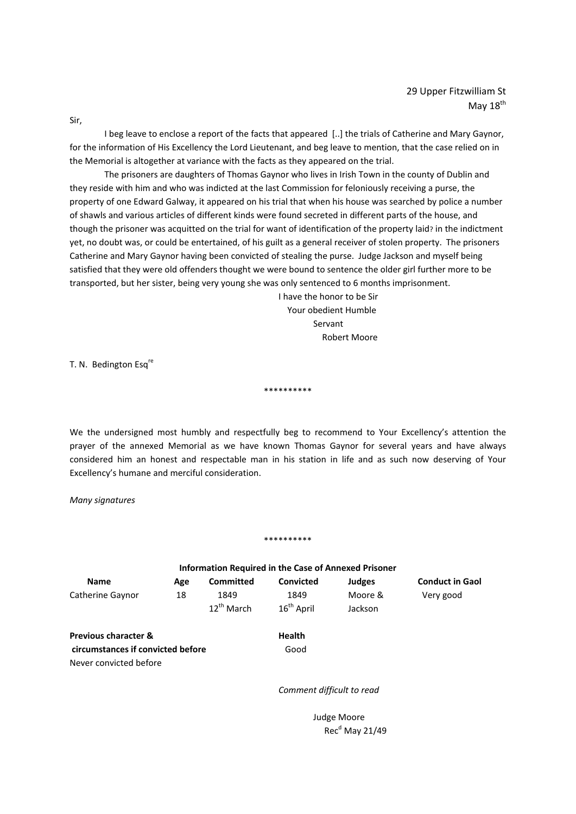Sir,

I beg leave to enclose a report of the facts that appeared [..] the trials of Catherine and Mary Gaynor, for the information of His Excellency the Lord Lieutenant, and beg leave to mention, that the case relied on in the Memorial is altogether at variance with the facts as they appeared on the trial.

The prisoners are daughters of Thomas Gaynor who lives in Irish Town in the county of Dublin and they reside with him and who was indicted at the last Commission for feloniously receiving a purse, the property of one Edward Galway, it appeared on his trial that when his house was searched by police a number of shawls and various articles of different kinds were found secreted in different parts of the house, and though the prisoner was acquitted on the trial for want of identification of the property laid? in the indictment yet, no doubt was, or could be entertained, of his guilt as a general receiver of stolen property. The prisoners Catherine and Mary Gaynor having been convicted of stealing the purse. Judge Jackson and myself being satisfied that they were old offenders thought we were bound to sentence the older girl further more to be transported, but her sister, being very young she was only sentenced to 6 months imprisonment.

 I have the honor to be Sir Your obedient Humble Servant and the contract of the contract of the Servant Robert Moore

T. N. Bedington Esq<sup>re</sup>

We the undersigned most humbly and respectfully beg to recommend to Your Excellency's attention the prayer of the annexed Memorial as we have known Thomas Gaynor for several years and have always considered him an honest and respectable man in his station in life and as such now deserving of Your Excellency's humane and merciful consideration.

\*\*\*\*\*\*\*\*\*\*

*Many signatures*

#### \*\*\*\*\*\*\*\*\*\*

| <b>Information Required in the Case of Annexed Prisoner</b> |     |                        |                           |               |                        |
|-------------------------------------------------------------|-----|------------------------|---------------------------|---------------|------------------------|
| <b>Name</b>                                                 | Age | <b>Committed</b>       | <b>Convicted</b>          | <b>Judges</b> | <b>Conduct in Gaol</b> |
| Catherine Gaynor                                            | 18  | 1849                   | 1849                      | Moore &       | Very good              |
|                                                             |     | 12 <sup>th</sup> March | $16^{\text{th}}$ April    | Jackson       |                        |
| <b>Previous character &amp;</b>                             |     |                        | <b>Health</b>             |               |                        |
| circumstances if convicted before                           |     |                        | Good                      |               |                        |
| Never convicted before                                      |     |                        |                           |               |                        |
|                                                             |     |                        | Comment difficult to read |               |                        |

 Judge Moore  $Rec<sup>d</sup>$  May 21/49